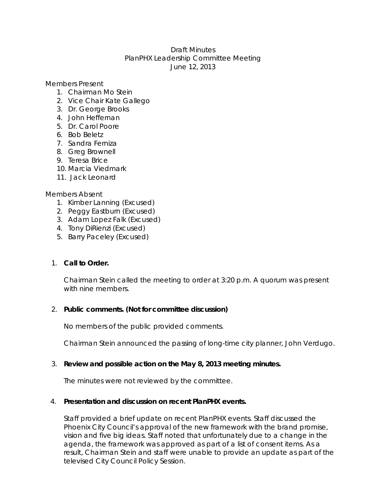## Draft Minutes PlanPHX Leadership Committee Meeting June 12, 2013

Members Present

- 1. Chairman Mo Stein
- 2. Vice Chair Kate Gallego
- 3. Dr. George Brooks
- 4. John Heffernan
- 5. Dr. Carol Poore
- 6. Bob Beletz
- 7. Sandra Ferniza
- 8. Greg Brownell
- 9. Teresa Brice
- 10. Marcia Viedmark
- 11. Jack Leonard

## Members Absent

- 1. Kimber Lanning (Excused)
- 2. Peggy Eastburn (Excused)
- 3. Adam Lopez Falk (Excused)
- 4. Tony DiRienzi (Excused)
- 5. Barry Paceley (Excused)

# 1. **Call to Order.**

Chairman Stein called the meeting to order at 3:20 p.m. A quorum was present with nine members.

## 2. **Public comments. (Not for committee discussion)**

No members of the public provided comments.

Chairman Stein announced the passing of long-time city planner, John Verdugo.

# 3. **Review and possible action on the May 8, 2013 meeting minutes.**

The minutes were not reviewed by the committee.

## 4. **Presentation and discussion on recent PlanPHX events.**

Staff provided a brief update on recent PlanPHX events. Staff discussed the Phoenix City Council's approval of the new framework with the brand promise, vision and five big ideas. Staff noted that unfortunately due to a change in the agenda, the framework was approved as part of a list of consent items. As a result, Chairman Stein and staff were unable to provide an update as part of the televised City Council Policy Session.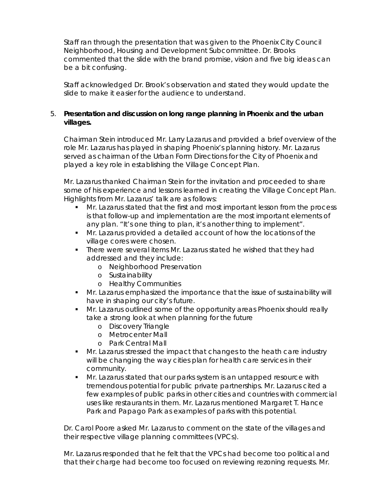Staff ran through the presentation that was given to the Phoenix City Council Neighborhood, Housing and Development Subcommittee. Dr. Brooks commented that the slide with the brand promise, vision and five big ideas can be a bit confusing.

Staff acknowledged Dr. Brook's observation and stated they would update the slide to make it easier for the audience to understand.

## 5. **Presentation and discussion on long range planning in Phoenix and the urban villages.**

Chairman Stein introduced Mr. Larry Lazarus and provided a brief overview of the role Mr. Lazarus has played in shaping Phoenix's planning history. Mr. Lazarus served as chairman of the Urban Form Directions for the City of Phoenix and played a key role in establishing the Village Concept Plan.

Mr. Lazarus thanked Chairman Stein for the invitation and proceeded to share some of his experience and lessons learned in creating the Village Concept Plan. Highlights from Mr. Lazarus' talk are as follows:

- Mr. Lazarus stated that the first and most important lesson from the process is that follow-up and implementation are the most important elements of any plan. "It's one thing to plan, it's another thing to implement".
- Mr. Lazarus provided a detailed account of how the locations of the village cores were chosen.
- There were several items Mr. Lazarus stated he wished that they had addressed and they include:
	- o Neighborhood Preservation
	- o Sustainability
	- o Healthy Communities
- **Mr. Lazarus emphasized the importance that the issue of sustainability will** have in shaping our city's future.
- **Mr. Lazarus outlined some of the opportunity areas Phoenix should really** take a strong look at when planning for the future
	- o Discovery Triangle
	- o Metrocenter Mall
	- o Park Central Mall
- Mr. Lazarus stressed the impact that changes to the heath care industry will be changing the way cities plan for health care services in their community.
- Mr. Lazarus stated that our parks system is an untapped resource with tremendous potential for public private partnerships. Mr. Lazarus cited a few examples of public parks in other cities and countries with commercial uses like restaurants in them. Mr. Lazarus mentioned Margaret T. Hance Park and Papago Park as examples of parks with this potential.

Dr. Carol Poore asked Mr. Lazarus to comment on the state of the villages and their respective village planning committees (VPCs).

Mr. Lazarus responded that he felt that the VPCs had become too political and that their charge had become too focused on reviewing rezoning requests. Mr.